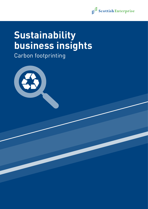

# **Sustainability business insights**

Carbon footprinting

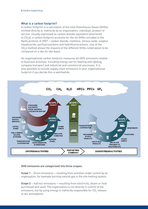#### What is a carbon footprint?

A carbon footprint is a calculation of the total Greenhouse Gases (GHGs) emitted directly or indirectly by an organisation, individual, product or service. Usually expressed as carbon dioxide equivalent (shortened to CO<sub>2</sub>e), a carbon footprint accounts for the six GHGs included in the Kyoto protocol of 2007 – carbon dioxide, methane, nitrous oxide, sulphur hexafluoride, perfluorocarbons and hydrofluorocarbons. Use of the  $\mathsf{CO}_2$ e method allows the impacts of the different GHGs noted above to be compared on a like for like basis.

An organisational carbon footprint measures all GHG emissions related to business activities, including energy use for heating and lighting, company transport and industrial and commercial processes. It is also possible to include supply chain emissions in your organisational footprint if you decide this is worthwhile.



#### **GHG emissions are categorised into three scopes:**

**Scope 1** – Direct emissions – resulting from activities under control by an organisation, for example burning natural gas in the site heating system.

**Scope 2** – Indirect emissions—resulting from electricity, steam or heat purchased and used. The organisation is not directly in control of the emissions, but by using energy is indirectly responsible for CO $_{\textrm{\tiny{2}}}$  release to the atmosphere.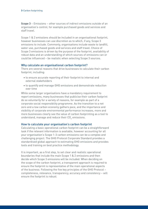**Scope 3** – Emissions – other sources of indirect emissions outside of an organisation's control, for example purchased goods and services and staff travel.

Scope 1 & 2 emissions should be included in an organisational footprint, however businesses can use discretion as to which, if any, Scope 3 emissions to include. Commonly, organisations include waste to landfill, water use, purchased goods and services and staff travel. Choice of Scope 3 emissions is driven by the purpose of the footprint, availability of robust data and an understanding of which sources of emissions can or could be influenced – be realistic when selecting Scope 3 sources.

#### Why calculate an organisational carbon footprint?

There are several reasons that drive businesses to calculate their carbon footprint, including:

- to ensure accurate reporting of their footprint to internal and external stakeholders
- to quantify and manage GHG emissions and demonstrate reduction over time

While some larger organisations have a mandatory requirement to report emissions, many businesses that publicise their carbon footprint do so voluntarily for a variety of reasons, for example as part of a corporate social responsibility programme. As the transition to a net zero and a low carbon economy gathers pace, and the importance and visibility of corporate environmental performance increases, more and more businesses clearly see the value of carbon footprinting as a tool to understand, manage and reduce their CO $_2$  emissions.

#### How to calculate your organisation's carbon footprint

Calculating a basic operational carbon footprint can be a straightforward task if the relevant information is available, however accounting for all your organisation's Scope 1-3 carbon emissions can be a complex and challenging project. The GHG Protocol Corporate Standard provides a standardised global approach to estimating GHG emissions and provides tools and training on best practice methodology.

It is important, as a first step, to set clear and realistic operational boundaries that include the main Scope 1 & 2 emissions and then decide which Scope 3 emissions will be included. When deciding on the scope of the carbon footprint, a transparent approach is required to ensure the footprint is representative of the main operational aspects of the business. Following the five key principles of the GHG Protocol – completeness, relevance, transparency, accuracy and consistency – will ensure the footprint is robust.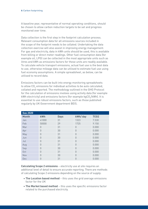A baseline year, representative of normal operating conditions, should be chosen to allow carbon reduction targets to be set and progress monitored over time.

Data collection is the first step in the footprint calculation process. Relevant consumption data for all emissions sources included in the scope of the footprint needs to be collated. Undertaking the data collection exercise will also assist in improving energy management. For gas and electricity, data in kWh units should be used, this is available from billing or direct meter readings. Other fuel consumption data (for example oil, LPG) can be collected in the most appropriate units such as litres and kWh as emissions factors for these units are readily available. To calculate vehicle transport emissions, actual fuel use is the best data to use, otherwise mileage data can be utilised to estimate fuel use using fuel economy assumptions. A simple spreadsheet, as below, can be utilised to record data.

Emissions factors can be built into energy monitoring spreadsheets to allow CO $_{\textrm{\tiny{2}}}$  emissions for individual activities to be auto calculated, collated and reported. The methodology outlined in the GHG Protocol for the calculation of emissions involves using activity data (for example kWh electricity) and emissions factors (for example kgCO $_{\rm 2}$ /kWh). It is essential to use robust emissions factors, such as those published regularly by UK Government department BEIS.

| <b>Gas 2020</b> |          |             |                |             |
|-----------------|----------|-------------|----------------|-------------|
| <b>Month</b>    | kWh      | <b>Days</b> | kWh/day        | <b>TC02</b> |
| Jan             | 41000    | 31          | 1323           | 7.530       |
| Feb             | 50000    | 29          | 1725           | 9.150       |
| Mar             | $\Omega$ | 31          | $\Omega$       | 0.000       |
| Apr             | $\Omega$ | 30          | $\Omega$       | 0.000       |
| May             | $\theta$ | 31          | $\overline{0}$ | 0.000       |
| Jun             | $\Omega$ | 30          | $\Omega$       | 0.000       |
| Jul             | $\theta$ | 31          | $\Omega$       | 0.000       |
| Aug             | $\Omega$ | 31          | $\Omega$       | 0.000       |
| Sep             | $\Omega$ | 30          | $\Omega$       | 0.000       |
| Oct             | $\Omega$ | 31          | $\Omega$       | 0.000       |
| Nov             | $\Omega$ | 30          | $\overline{0}$ | 0.000       |
| Dec             | $\theta$ | 31          | 0              | 0.000       |

**Calculating Scope 2 emissions** – electricity use at site requires an additional level of detail to ensure accurate reporting. There are methods of calculating Scope 2 emissions depending on the source of supply:

- **The Location based method** this uses the grid average emissions factor for the UK
- **The Market based method** this uses the specific emissions factor related to the purchased electricity.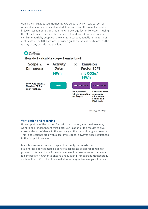Using the Market based method allows electricity from low carbon or renewable sources to be calculated differently, and this usually results in lower carbon emissions than the grid average factor. However, if using the Market based method, the supplier should provide robust evidence to confirm electricity supplied is low or zero carbon, usually in the form of certificates. The GHG protocol provides guidance on checks to assess the quality of any certificates provided.



# Verification and reporting

On completion of the carbon footprint calculation, your business may want to seek independent third party verification of the results to give stakeholders confidence in the accuracy of the methodology and results. This is an optional step with a cost implication, however adds robustness to the footprint process.

Many businesses choose to report their footprint to external stakeholders, for example as part of a corporate social responsibility process. This is a choice for each business to make based on its needs. It is important however to ensure a robust and transparent methodology, such as the GHG Protocol, is used, if intending to disclose your footprint.